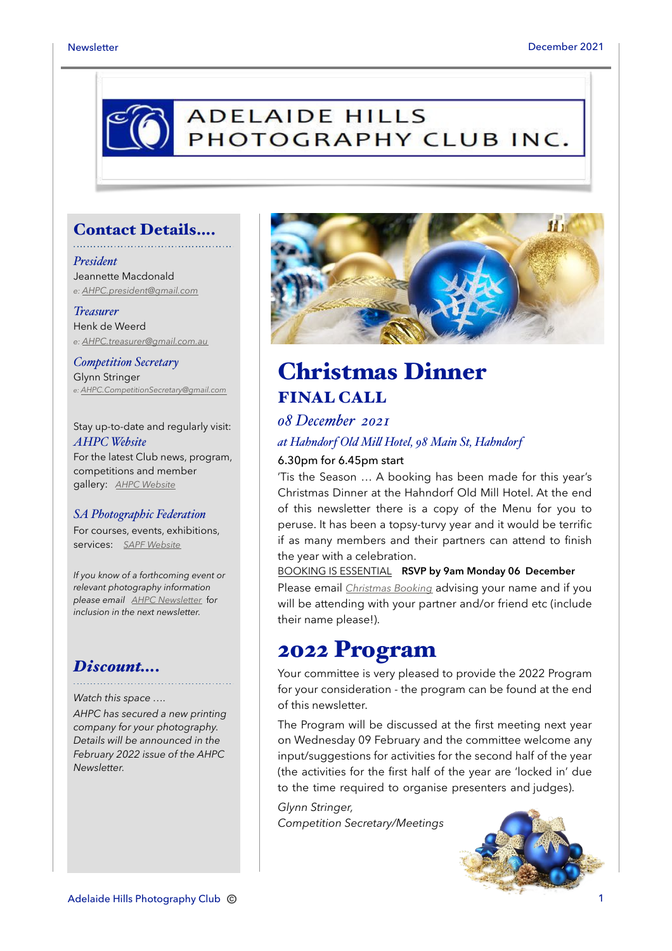## **ADELAIDE HILLS** PHOTOGRAPHY CLUB INC.

### Contact Details….

#### *President* Jeannette Macdonald *e: [AHPC.president@gmail.com](mailto:AHPC.president@gmail.com)*

*Treasurer* Henk de Weerd

*e: [AHPC.treasurer@gmail.com.au](mailto:AHPC.treasurer@gmail.com.au)*

*Competition Secretary* Glynn Stringer *e: [AHPC.CompetitionSecretary@gmail.com](mailto:AHPC.CompetitionSecretary@gmail.com)*

Stay up-to-date and regularly visit: *AHPC Website* For the latest Club news, program, competitions and member gallery: *[AHPC Website](http://www.adelaidehillsphotographyclub.com.au)*

#### *SA Photographic Federation*

For courses, events, exhibitions, services: *[SAPF Website](https://www.sapf.org.au)*

*If you know of a forthcoming event or relevant photography information please email [AHPC Newsletter](mailto:AHPC.newsletter@gmail.com)* f*or inclusion in the next newsletter.* 

## *Discount….*

#### *Watch this space ….*

*AHPC has secured a new printing company for your photography. Details will be announced in the February 2022 issue of the AHPC Newsletter.*



## Christmas Dinner FINAL CALL

### *08 December 2021*

## *at Hahndorf Old Mi! Hotel, 98 Main St, Hahndorf*

#### 6.30pm for 6.45pm start

'Tis the Season … A booking has been made for this year's Christmas Dinner at the Hahndorf Old Mill Hotel. At the end of this newsletter there is a copy of the Menu for you to peruse. It has been a topsy-turvy year and it would be terrific if as many members and their partners can attend to finish the year with a celebration.

### BOOKING IS ESSENTIAL **RSVP by 9am Monday 06 December**

Please email *[Christmas Booking](mailto:ahpc.newsletter@gmail.com?subject=AHPC%20Christmas%20Dinner%20-%20booking)* advising your name and if you will be attending with your partner and/or friend etc (include their name please!).

## 2022 Program

Your committee is very pleased to provide the 2022 Program for your consideration - the program can be found at the end of this newsletter.

The Program will be discussed at the first meeting next year on Wednesday 09 February and the committee welcome any input/suggestions for activities for the second half of the year (the activities for the first half of the year are 'locked in' due to the time required to organise presenters and judges).

*Glynn Stringer, Competition Secretary/Meetings* 

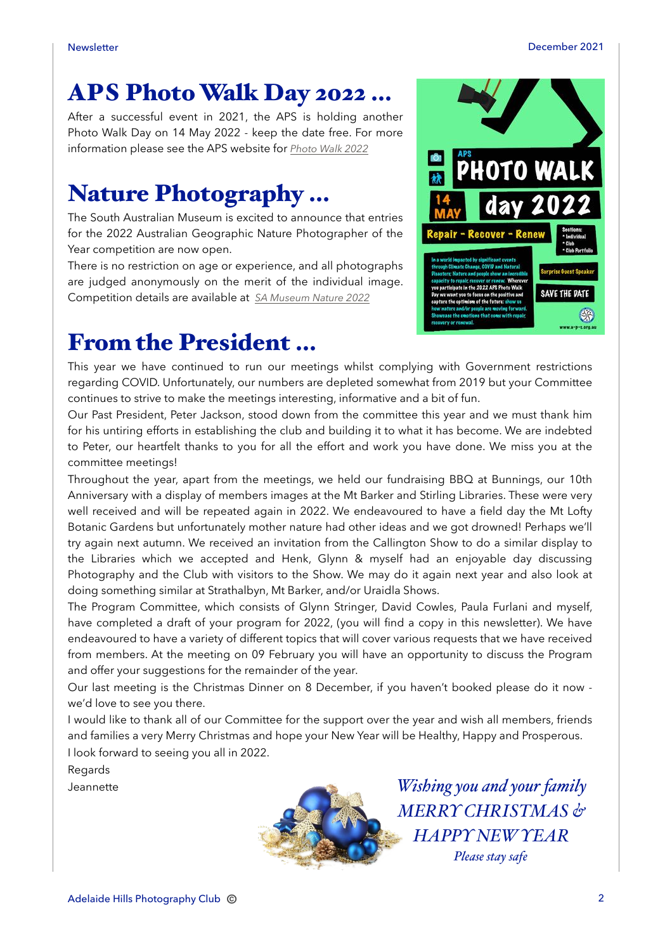# APS Photo Walk Day 2022 …

After a successful event in 2021, the APS is holding another Photo Walk Day on 14 May 2022 - keep the date free. For more information please see the APS website for *[Photo Walk 2022](https://www.a-p-s.org.au/index.php/events/photo-walk-day)*

# Nature Photography …

The South Australian Museum is excited to announce that entries for the 2022 Australian Geographic Nature Photographer of the Year competition are now open.

There is no restriction on age or experience, and all photographs are judged anonymously on the merit of the individual image. Competition details are available at *[SA Museum Nature 2022](https://www.samuseum.sa.gov.au/c/npoty/competition)*



## From the President …

This year we have continued to run our meetings whilst complying with Government restrictions regarding COVID. Unfortunately, our numbers are depleted somewhat from 2019 but your Committee continues to strive to make the meetings interesting, informative and a bit of fun.

Our Past President, Peter Jackson, stood down from the committee this year and we must thank him for his untiring efforts in establishing the club and building it to what it has become. We are indebted to Peter, our heartfelt thanks to you for all the effort and work you have done. We miss you at the committee meetings!

Throughout the year, apart from the meetings, we held our fundraising BBQ at Bunnings, our 10th Anniversary with a display of members images at the Mt Barker and Stirling Libraries. These were very well received and will be repeated again in 2022. We endeavoured to have a field day the Mt Lofty Botanic Gardens but unfortunately mother nature had other ideas and we got drowned! Perhaps we'll try again next autumn. We received an invitation from the Callington Show to do a similar display to the Libraries which we accepted and Henk, Glynn & myself had an enjoyable day discussing Photography and the Club with visitors to the Show. We may do it again next year and also look at doing something similar at Strathalbyn, Mt Barker, and/or Uraidla Shows.

The Program Committee, which consists of Glynn Stringer, David Cowles, Paula Furlani and myself, have completed a draft of your program for 2022, (you will find a copy in this newsletter). We have endeavoured to have a variety of different topics that will cover various requests that we have received from members. At the meeting on 09 February you will have an opportunity to discuss the Program and offer your suggestions for the remainder of the year.

Our last meeting is the Christmas Dinner on 8 December, if you haven't booked please do it now we'd love to see you there.

I would like to thank all of our Committee for the support over the year and wish all members, friends and families a very Merry Christmas and hope your New Year will be Healthy, Happy and Prosperous. I look forward to seeing you all in 2022.

Regards

Jeannette



*Wishing you and your family MERRY CHRISTMAS & HAPPY NEW YEAR Please stay safe*